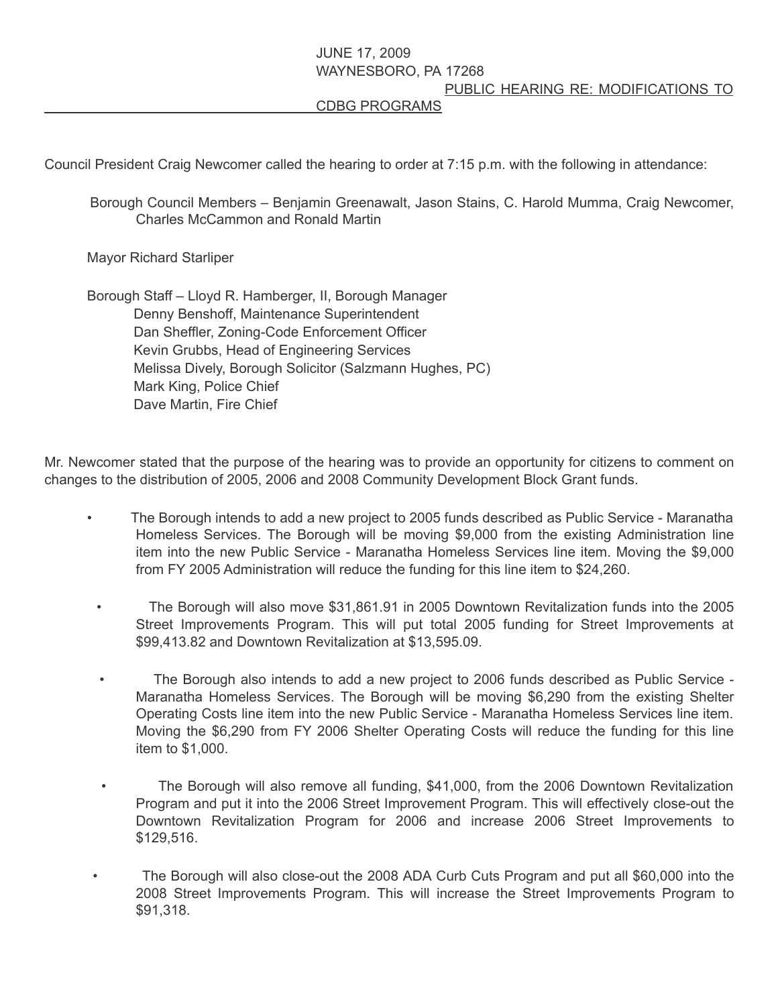## JUNE 17, 2009 WAYNESBORO, PA 17268 PUBLIC HEARING RE: MODIFICATIONS TO CDBG PROGRAMS

Council President Craig Newcomer called the hearing to order at 7:15 p.m. with the following in attendance:

Borough Council Members – Benjamin Greenawalt, Jason Stains, C. Harold Mumma, Craig Newcomer, Charles McCammon and Ronald Martin

Mayor Richard Starliper

Borough Staff – Lloyd R. Hamberger, II, Borough Manager Denny Benshoff, Maintenance Superintendent Dan Sheffler, Zoning-Code Enforcement Officer Kevin Grubbs, Head of Engineering Services Melissa Dively, Borough Solicitor (Salzmann Hughes, PC) Mark King, Police Chief Dave Martin, Fire Chief

Mr. Newcomer stated that the purpose of the hearing was to provide an opportunity for citizens to comment on changes to the distribution of 2005, 2006 and 2008 Community Development Block Grant funds.

- The Borough intends to add a new project to 2005 funds described as Public Service Maranatha Homeless Services. The Borough will be moving \$9,000 from the existing Administration line item into the new Public Service - Maranatha Homeless Services line item. Moving the \$9,000 from FY 2005 Administration will reduce the funding for this line item to \$24,260.
	- The Borough will also move \$31,861.91 in 2005 Downtown Revitalization funds into the 2005 Street Improvements Program. This will put total 2005 funding for Street Improvements at \$99,413.82 and Downtown Revitalization at \$13,595.09.
	- The Borough also intends to add a new project to 2006 funds described as Public Service Maranatha Homeless Services. The Borough will be moving \$6,290 from the existing Shelter Operating Costs line item into the new Public Service - Maranatha Homeless Services line item. Moving the \$6,290 from FY 2006 Shelter Operating Costs will reduce the funding for this line item to \$1,000.
	- The Borough will also remove all funding, \$41,000, from the 2006 Downtown Revitalization Program and put it into the 2006 Street Improvement Program. This will effectively close-out the Downtown Revitalization Program for 2006 and increase 2006 Street Improvements to \$129,516.
- The Borough will also close-out the 2008 ADA Curb Cuts Program and put all \$60,000 into the 2008 Street Improvements Program. This will increase the Street Improvements Program to \$91,318.